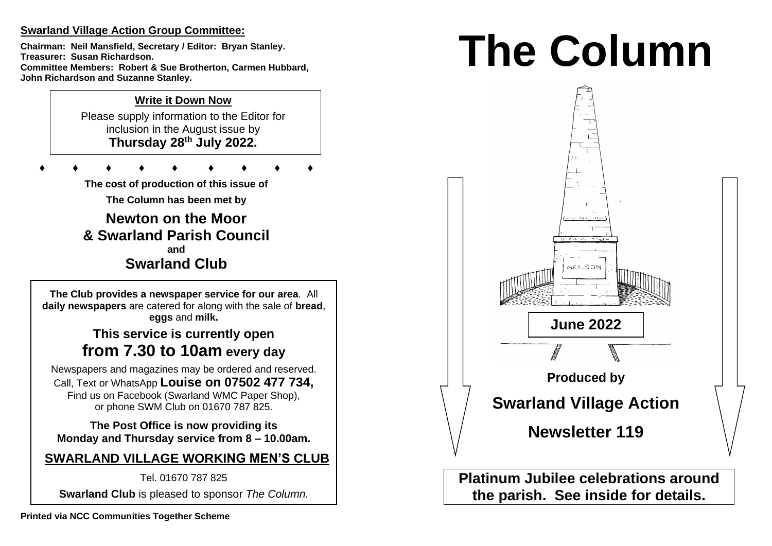## **Swarland Village Action Group Committee:**

**Chairman: Neil Mansfield, Secretary / Editor: Bryan Stanley. Treasurer: Susan Richardson. Committee Members: Robert & Sue Brotherton, Carmen Hubbard, John Richardson and Suzanne Stanley.** 

# **Write it Down Now**

Please supply information to the Editor for inclusion in the August issue by **Thursday 28 th July 2022.** 

 $\mathbb{Z}$ 

**♦ ♦ ♦ ♦ ♦ ♦ ♦ ♦ ♦**

**The cost of production of this issue of** 

**The Column has been met by**

**Newton on the Moor & Swarland Parish Council and Swarland Club**

**The Club provides a newspaper service for our area**. All **daily newspapers** are catered for along with the sale of **bread**, **eggs** and **milk.**

# **This service is currently open from 7.30 to 10am every day**

Newspapers and magazines may be ordered and reserved. Call, Text or WhatsApp **Louise on 07502 477 734,**  Find us on Facebook (Swarland WMC Paper Shop), or phone SWM Club on 01670 787 825.

**The Post Office is now providing its Monday and Thursday service from 8 – 10.00am.** 

**SWARLAND VILLAGE WORKING MEN'S CLUB**

Tel. 01670 787 825

**Swarland Club** is pleased to sponsor *The Column.*

# **The Column**



**Platinum Jubilee celebrations around the parish. See inside for details.**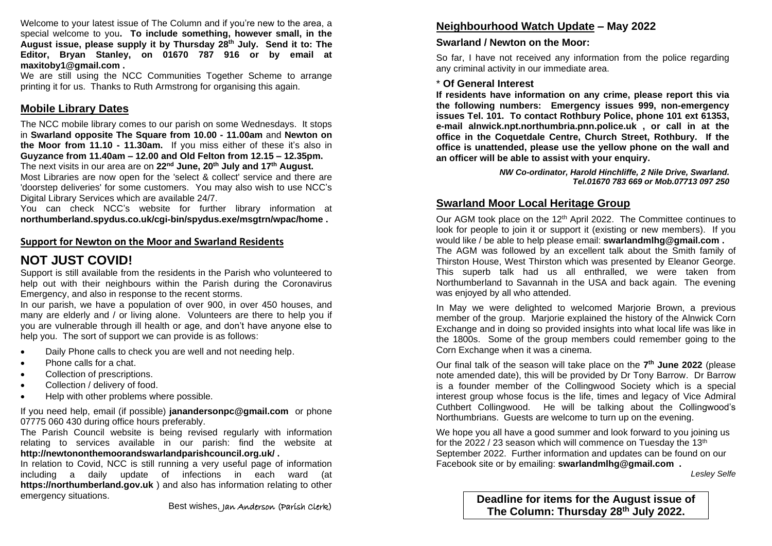Welcome to your latest issue of The Column and if you're new to the area, a special welcome to you**. To include something, however small, in the August issue, please supply it by Thursday 28 th July. Send it to: The Editor, Bryan Stanley, on 01670 787 916 or by email at maxitoby1@gmail.com .**

We are still using the NCC Communities Together Scheme to arrange printing it for us. Thanks to Ruth Armstrong for organising this again.

## **Mobile Library Dates**

The NCC mobile library comes to our parish on some Wednesdays. It stops in **Swarland opposite The Square from 10.00 - 11.00am** and **Newton on the Moor from 11.10 - 11.30am.** If you miss either of these it's also in **Guyzance from 11.40am – 12.00 and Old Felton from 12.15 – 12.35pm.**  The next visits in our area are on **22nd June, 20th July and 17th August.**

Most Libraries are now open for the 'select & collect' service and there are 'doorstep deliveries' for some customers. You may also wish to use NCC's Digital Library Services which are available 24/7.

You can check NCC's website for further library information at **northumberland.spydus.co.uk/cgi-bin/spydus.exe/msgtrn/wpac/home .**

## **Support for Newton on the Moor and Swarland Residents**

# **NOT JUST COVID!**

Support is still available from the residents in the Parish who volunteered to help out with their neighbours within the Parish during the Coronavirus Emergency, and also in response to the recent storms.

In our parish, we have a population of over 900, in over 450 houses, and many are elderly and / or living alone. Volunteers are there to help you if you are vulnerable through ill health or age, and don't have anyone else to help you. The sort of support we can provide is as follows:

- Daily Phone calls to check you are well and not needing help.
- Phone calls for a chat.
- Collection of prescriptions.
- Collection / delivery of food.
- Help with other problems where possible.

If you need help, email (if possible) **janandersonpc@gmail.com** or phone 07775 060 430 during office hours preferably.

The Parish Council website is being revised regularly with information relating to services available in our parish: find the website at **http://newtononthemoorandswarlandparishcouncil.org.uk/ .**

In relation to Covid, NCC is still running a very useful page of information including a daily update of infections in each ward (at **https://northumberland.gov.uk** ) and also has information relating to other emergency situations.

## **Neighbourhood Watch Update – May 2022**

## **Swarland / Newton on the Moor:**

So far, I have not received any information from the police regarding any criminal activity in our immediate area.

## \* **Of General Interest**

**If residents have information on any crime, please report this via the following numbers: Emergency issues 999, non-emergency issues Tel. 101. To contact Rothbury Police, phone 101 ext 61353, e-mail alnwick.npt.northumbria.pnn.police.uk , or call in at the office in the Coquetdale Centre, Church Street, Rothbury. If the office is unattended, please use the yellow phone on the wall and an officer will be able to assist with your enquiry.** 

> *NW Co-ordinator, Harold Hinchliffe, 2 Nile Drive, Swarland. Tel.01670 783 669 or Mob.07713 097 250*

## **Swarland Moor Local Heritage Group**

Our AGM took place on the 12th April 2022. The Committee continues to look for people to join it or support it (existing or new members). If you would like / be able to help please email: **swarlandmlhg@gmail.com .**

The AGM was followed by an excellent talk about the Smith family of Thirston House, West Thirston which was presented by Eleanor George. This superb talk had us all enthralled, we were taken from Northumberland to Savannah in the USA and back again. The evening was enjoyed by all who attended.

In May we were delighted to welcomed Marjorie Brown, a previous member of the group. Marjorie explained the history of the Alnwick Corn Exchange and in doing so provided insights into what local life was like in the 1800s. Some of the group members could remember going to the Corn Exchange when it was a cinema.

Our final talk of the season will take place on the **7 th June 2022** (please note amended date), this will be provided by Dr Tony Barrow. Dr Barrow is a founder member of the Collingwood Society which is a special interest group whose focus is the life, times and legacy of Vice Admiral Cuthbert Collingwood. He will be talking about the Collingwood's Northumbrians. Guests are welcome to turn up on the evening.

We hope you all have a good summer and look forward to you joining us for the 2022 / 23 season which will commence on Tuesday the  $13<sup>th</sup>$ September 2022. Further information and updates can be found on our Facebook site or by emailing: **swarlandmlhg@gmail.com .**

*Lesley Selfe*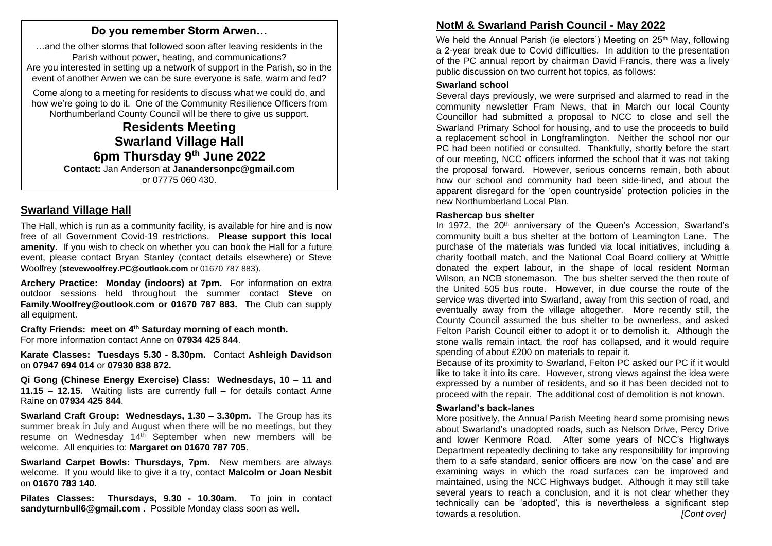## **Do you remember Storm Arwen…**

…and the other storms that followed soon after leaving residents in the Parish without power, heating, and communications? Are you interested in setting up a network of support in the Parish, so in the event of another Arwen we can be sure everyone is safe, warm and fed?

Come along to a meeting for residents to discuss what we could do, and how we're going to do it. One of the Community Resilience Officers from Northumberland County Council will be there to give us support.

**Residents Meeting Swarland Village Hall 6pm Thursday 9th June 2022**

**Contact:** Jan Anderson at **Janandersonpc@gmail.com** or 07775 060 430.

## **Swarland Village Hall**

The Hall, which is run as a community facility, is available for hire and is now free of all Government Covid-19 restrictions. **Please support this local amenity.** If you wish to check on whether you can book the Hall for a future event, please contact Bryan Stanley (contact details elsewhere) or Steve Woolfrey (**stevewoolfrey.PC@outlook.com** or 01670 787 883).

**Archery Practice: Monday (indoors) at 7pm.** For information on extra outdoor sessions held throughout the summer contact **Steve** on **Family.Woolfrey@outlook.com or 01670 787 883. T**he Club can supply all equipment.

**Crafty Friends: meet on 4 th Saturday morning of each month.** For more information contact Anne on **07934 425 844**.

**Karate Classes: Tuesdays 5.30 - 8.30pm.** Contact **Ashleigh Davidson** on **07947 694 014** or **07930 838 872.** 

**Qi Gong (Chinese Energy Exercise) Class: Wednesdays, 10 – 11 and 11.15 – 12.15.** Waiting lists are currently full – for details contact Anne Raine on **07934 425 844**.

**Swarland Craft Group: Wednesdays, 1.30 – 3.30pm.** The Group has its summer break in July and August when there will be no meetings, but they resume on Wednesday 14th September when new members will be welcome. All enquiries to: **Margaret on 01670 787 705**.

**Swarland Carpet Bowls: Thursdays, 7pm.** New members are always welcome. If you would like to give it a try, contact **Malcolm or Joan Nesbit**  on **01670 783 140.** 

**Pilates Classes: Thursdays, 9.30 - 10.30am.** To join in contact **sandyturnbull6@gmail.com .** Possible Monday class soon as well.

# **NotM & Swarland Parish Council - May 2022**

We held the Annual Parish (ie electors') Meeting on 25<sup>th</sup> May, following a 2-year break due to Covid difficulties. In addition to the presentation of the PC annual report by chairman David Francis, there was a lively public discussion on two current hot topics, as follows:

#### **Swarland school**

Several days previously, we were surprised and alarmed to read in the community newsletter Fram News, that in March our local County Councillor had submitted a proposal to NCC to close and sell the Swarland Primary School for housing, and to use the proceeds to build a replacement school in Longframlington. Neither the school nor our PC had been notified or consulted. Thankfully, shortly before the start of our meeting, NCC officers informed the school that it was not taking the proposal forward. However, serious concerns remain, both about how our school and community had been side-lined, and about the apparent disregard for the 'open countryside' protection policies in the new Northumberland Local Plan.

## **Rashercap bus shelter**

In 1972, the 20<sup>th</sup> anniversary of the Queen's Accession, Swarland's community built a bus shelter at the bottom of Leamington Lane. The purchase of the materials was funded via local initiatives, including a charity football match, and the National Coal Board colliery at Whittle donated the expert labour, in the shape of local resident Norman Wilson, an NCB stonemason. The bus shelter served the then route of the United 505 bus route. However, in due course the route of the service was diverted into Swarland, away from this section of road, and eventually away from the village altogether. More recently still, the County Council assumed the bus shelter to be ownerless, and asked Felton Parish Council either to adopt it or to demolish it. Although the stone walls remain intact, the roof has collapsed, and it would require spending of about £200 on materials to repair it.

Because of its proximity to Swarland, Felton PC asked our PC if it would like to take it into its care. However, strong views against the idea were expressed by a number of residents, and so it has been decided not to proceed with the repair. The additional cost of demolition is not known.

## **Swarland's back-lanes**

More positively, the Annual Parish Meeting heard some promising news about Swarland's unadopted roads, such as Nelson Drive, Percy Drive and lower Kenmore Road. After some years of NCC's Highways Department repeatedly declining to take any responsibility for improving them to a safe standard, senior officers are now 'on the case' and are examining ways in which the road surfaces can be improved and maintained, using the NCC Highways budget. Although it may still take several years to reach a conclusion, and it is not clear whether they technically can be 'adopted', this is nevertheless a significant step towards a resolution. *[Cont over]*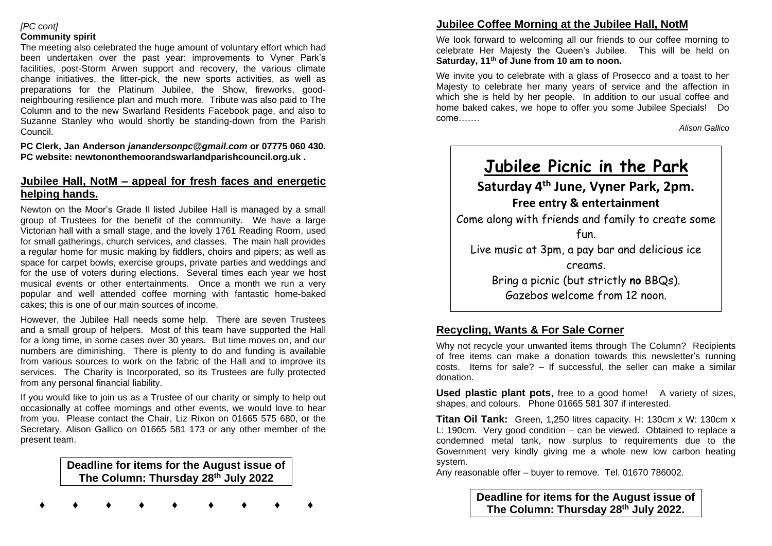### *[PC cont]* **Community spirit**

The meeting also celebrated the huge amount of voluntary effort which had been undertaken over the past year: improvements to Vyner Park's facilities, post-Storm Arwen support and recovery, the various climate change initiatives, the litter-pick, the new sports activities, as well as preparations for the Platinum Jubilee, the Show, fireworks, goodneighbouring resilience plan and much more. Tribute was also paid to The Column and to the new Swarland Residents Facebook page, and also to Suzanne Stanley who would shortly be standing-down from the Parish Council.

**PC Clerk, Jan Anderson** *janandersonpc@gmail.com* **or 07775 060 430. PC website: newtononthemoorandswarlandparishcouncil.org.uk .** 

## **Jubilee Hall, NotM – appeal for fresh faces and energetic helping hands.**

Newton on the Moor's Grade II listed Jubilee Hall is managed by a small group of Trustees for the benefit of the community. We have a large Victorian hall with a small stage, and the lovely 1761 Reading Room, used for small gatherings, church services, and classes. The main hall provides a regular home for music making by fiddlers, choirs and pipers; as well as space for carpet bowls, exercise groups, private parties and weddings and for the use of voters during elections. Several times each year we host musical events or other entertainments. Once a month we run a very popular and well attended coffee morning with fantastic home-baked cakes; this is one of our main sources of income.

However, the Jubilee Hall needs some help. There are seven Trustees and a small group of helpers. Most of this team have supported the Hall for a long time, in some cases over 30 years. But time moves on, and our numbers are diminishing. There is plenty to do and funding is available from various sources to work on the fabric of the Hall and to improve its services. The Charity is Incorporated, so its Trustees are fully protected from any personal financial liability.

If you would like to join us as a Trustee of our charity or simply to help out occasionally at coffee mornings and other events, we would love to hear from you. Please contact the Chair, Liz Rixon on 01665 575 680, or the Secretary, Alison Gallico on 01665 581 173 or any other member of the present team.

> **Deadline for items for the August issue of The Column: Thursday 28th July 2022**

**♦ ♦ ♦ ♦ ♦ ♦ ♦ ♦ ♦**

**Jubilee Coffee Morning at the Jubilee Hall, NotM** 

We look forward to welcoming all our friends to our coffee morning to celebrate Her Majesty the Queen's Jubilee. This will be held on **Saturday, 11th of June from 10 am to noon.** 

We invite you to celebrate with a glass of Prosecco and a toast to her Majesty to celebrate her many years of service and the affection in which she is held by her people. In addition to our usual coffee and home baked cakes, we hope to offer you some Jubilee Specials! Do come…….

*Alison Gallico*



## **Recycling, Wants & For Sale Corner**

Why not recycle your unwanted items through The Column? Recipients of free items can make a donation towards this newsletter's running costs. Items for sale?  $-$  If successful, the seller can make a similar donation.

**Used plastic plant pots**, free to a good home! A variety of sizes, shapes, and colours. Phone 01665 581 307 if interested.

**Titan Oil Tank:** Green, 1,250 litres capacity. H: 130cm x W: 130cm x L: 190cm. Very good condition – can be viewed. Obtained to replace a condemned metal tank, now surplus to requirements due to the Government very kindly giving me a whole new low carbon heating system.

Any reasonable offer – buyer to remove. Tel. 01670 786002.

**Deadline for items for the August issue of The Column: Thursday 28 th July 2022.**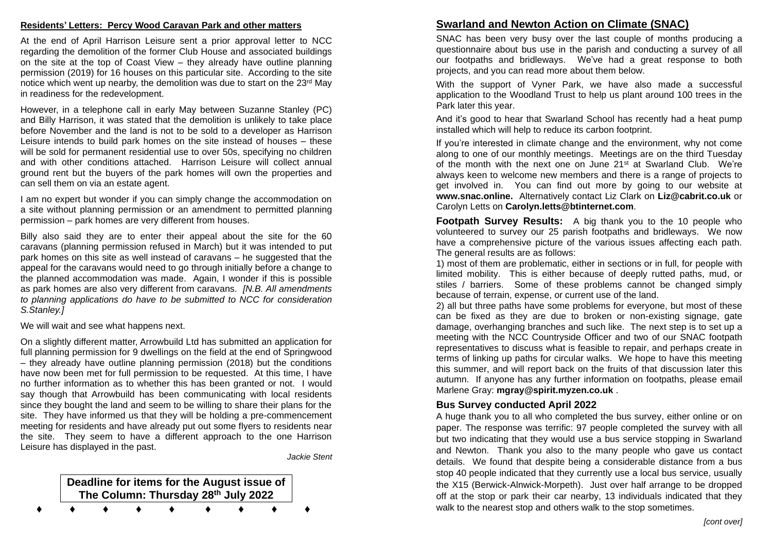#### **Residents' Letters: Percy Wood Caravan Park and other matters**

At the end of April Harrison Leisure sent a prior approval letter to NCC regarding the demolition of the former Club House and associated buildings on the site at the top of Coast View – they already have outline planning permission (2019) for 16 houses on this particular site. According to the site notice which went up nearby, the demolition was due to start on the 23<sup>rd</sup> May in readiness for the redevelopment.

However, in a telephone call in early May between Suzanne Stanley (PC) and Billy Harrison, it was stated that the demolition is unlikely to take place before November and the land is not to be sold to a developer as Harrison Leisure intends to build park homes on the site instead of houses – these will be sold for permanent residential use to over 50s, specifying no children and with other conditions attached. Harrison Leisure will collect annual ground rent but the buyers of the park homes will own the properties and can sell them on via an estate agent.

I am no expert but wonder if you can simply change the accommodation on a site without planning permission or an amendment to permitted planning permission – park homes are very different from houses.

Billy also said they are to enter their appeal about the site for the 60 caravans (planning permission refused in March) but it was intended to put park homes on this site as well instead of caravans – he suggested that the appeal for the caravans would need to go through initially before a change to the planned accommodation was made. Again, I wonder if this is possible as park homes are also very different from caravans. *[N.B. All amendments to planning applications do have to be submitted to NCC for consideration S.Stanley.]*

We will wait and see what happens next.

On a slightly different matter, Arrowbuild Ltd has submitted an application for full planning permission for 9 dwellings on the field at the end of Springwood – they already have outline planning permission (2018) but the conditions have now been met for full permission to be requested. At this time, I have no further information as to whether this has been granted or not. I would say though that Arrowbuild has been communicating with local residents since they bought the land and seem to be willing to share their plans for the site. They have informed us that they will be holding a pre-commencement meeting for residents and have already put out some flyers to residents near the site. They seem to have a different approach to the one Harrison Leisure has displayed in the past.

*Jackie Stent*

| Deadline for items for the August issue of<br>The Column: Thursday 28th July 2022 |  |  |  |  |  |  |  |
|-----------------------------------------------------------------------------------|--|--|--|--|--|--|--|
|                                                                                   |  |  |  |  |  |  |  |

## **Swarland and Newton Action on Climate (SNAC)**

SNAC has been very busy over the last couple of months producing a questionnaire about bus use in the parish and conducting a survey of all our footpaths and bridleways. We've had a great response to both projects, and you can read more about them below.

With the support of Vyner Park, we have also made a successful application to the Woodland Trust to help us plant around 100 trees in the Park later this year.

And it's good to hear that Swarland School has recently had a heat pump installed which will help to reduce its carbon footprint.

If you're interested in climate change and the environment, why not come along to one of our monthly meetings. Meetings are on the third Tuesday of the month with the next one on June  $21^{st}$  at Swarland Club. We're always keen to welcome new members and there is a range of projects to get involved in. You can find out more by going to our website at **www.snac.online.** Alternatively contact Liz Clark on **Liz@cabrit.co.uk** or Carolyn Letts on **Carolyn.letts@btinternet.com**.

**Footpath Survey Results:** A big thank you to the 10 people who volunteered to survey our 25 parish footpaths and bridleways. We now have a comprehensive picture of the various issues affecting each path. The general results are as follows:

1) most of them are problematic, either in sections or in full, for people with limited mobility. This is either because of deeply rutted paths, mud, or stiles / barriers. Some of these problems cannot be changed simply because of terrain, expense, or current use of the land.

2) all but three paths have some problems for everyone, but most of these can be fixed as they are due to broken or non-existing signage, gate damage, overhanging branches and such like. The next step is to set up a meeting with the NCC Countryside Officer and two of our SNAC footpath representatives to discuss what is feasible to repair, and perhaps create in terms of linking up paths for circular walks. We hope to have this meeting this summer, and will report back on the fruits of that discussion later this autumn. If anyone has any further information on footpaths, please email Marlene Gray: **mgray@spirit.myzen.co.uk** .

### **Bus Survey conducted April 2022**

A huge thank you to all who completed the bus survey, either online or on paper. The response was terrific: 97 people completed the survey with all but two indicating that they would use a bus service stopping in Swarland and Newton. Thank you also to the many people who gave us contact details. We found that despite being a considerable distance from a bus stop 40 people indicated that they currently use a local bus service, usually the X15 (Berwick-Alnwick-Morpeth). Just over half arrange to be dropped off at the stop or park their car nearby, 13 individuals indicated that they walk to the nearest stop and others walk to the stop sometimes.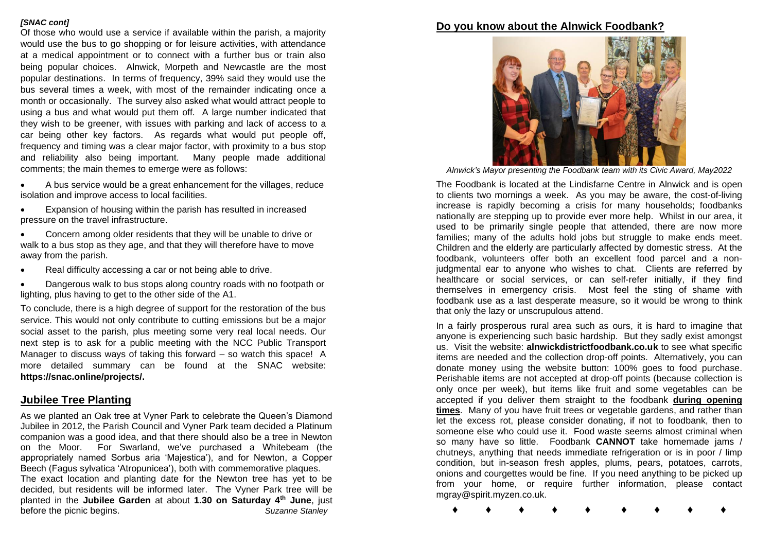#### *[SNAC cont]*

Of those who would use a service if available within the parish, a majority would use the bus to go shopping or for leisure activities, with attendance at a medical appointment or to connect with a further bus or train also being popular choices. Alnwick, Morpeth and Newcastle are the most popular destinations. In terms of frequency, 39% said they would use the bus several times a week, with most of the remainder indicating once a month or occasionally. The survey also asked what would attract people to using a bus and what would put them off. A large number indicated that they wish to be greener, with issues with parking and lack of access to a car being other key factors. As regards what would put people off, frequency and timing was a clear major factor, with proximity to a bus stop and reliability also being important. Many people made additional comments; the main themes to emerge were as follows:

- A bus service would be a great enhancement for the villages, reduce isolation and improve access to local facilities.
- Expansion of housing within the parish has resulted in increased pressure on the travel infrastructure.
- Concern among older residents that they will be unable to drive or walk to a bus stop as they age, and that they will therefore have to move away from the parish.
- Real difficulty accessing a car or not being able to drive.
- Dangerous walk to bus stops along country roads with no footpath or lighting, plus having to get to the other side of the A1.

To conclude, there is a high degree of support for the restoration of the bus service. This would not only contribute to cutting emissions but be a major social asset to the parish, plus meeting some very real local needs. Our next step is to ask for a public meeting with the NCC Public Transport Manager to discuss ways of taking this forward – so watch this space! A more detailed summary can be found at the SNAC website: **https://snac.online/projects/.** 

## **Jubilee Tree Planting**

As we planted an Oak tree at Vyner Park to celebrate the Queen's Diamond Jubilee in 2012, the Parish Council and Vyner Park team decided a Platinum companion was a good idea, and that there should also be a tree in Newton on the Moor. For Swarland, we've purchased a Whitebeam (the appropriately named Sorbus aria 'Majestica'), and for Newton, a Copper Beech (Fagus sylvatica 'Atropunicea'), both with commemorative plaques. The exact location and planting date for the Newton tree has yet to be

decided, but residents will be informed later. The Vyner Park tree will be planted in the **Jubilee Garden** at about **1.30 on Saturday 4th June**, just before the picnic begins. *Suzanne Stanley*

## **Do you know about the Alnwick Foodbank?**



*Alnwick's Mayor presenting the Foodbank team with its Civic Award, May2022*

The Foodbank is located at the Lindisfarne Centre in Alnwick and is open to clients two mornings a week. As you may be aware, the cost-of-living increase is rapidly becoming a crisis for many households; foodbanks nationally are stepping up to provide ever more help. Whilst in our area, it used to be primarily single people that attended, there are now more families; many of the adults hold jobs but struggle to make ends meet. Children and the elderly are particularly affected by domestic stress. At the foodbank, volunteers offer both an excellent food parcel and a nonjudgmental ear to anyone who wishes to chat. Clients are referred by healthcare or social services, or can self-refer initially, if they find themselves in emergency crisis. Most feel the sting of shame with foodbank use as a last desperate measure, so it would be wrong to think that only the lazy or unscrupulous attend.

In a fairly prosperous rural area such as ours, it is hard to imagine that anyone is experiencing such basic hardship. But they sadly exist amongst us. Visit the website: **alnwickdistrictfoodbank.co.uk** to see what specific items are needed and the collection drop-off points. Alternatively, you can donate money using the website button: 100% goes to food purchase. Perishable items are not accepted at drop-off points (because collection is only once per week), but items like fruit and some vegetables can be accepted if you deliver them straight to the foodbank **during opening times**. Many of you have fruit trees or vegetable gardens, and rather than let the excess rot, please consider donating, if not to foodbank, then to someone else who could use it. Food waste seems almost criminal when so many have so little. Foodbank **CANNOT** take homemade jams / chutneys, anything that needs immediate refrigeration or is in poor / limp condition, but in-season fresh apples, plums, pears, potatoes, carrots, onions and courgettes would be fine. If you need anything to be picked up from your home, or require further information, please contact mgray@spirit.myzen.co.uk.

**♦ ♦ ♦ ♦ ♦ ♦ ♦ ♦ ♦**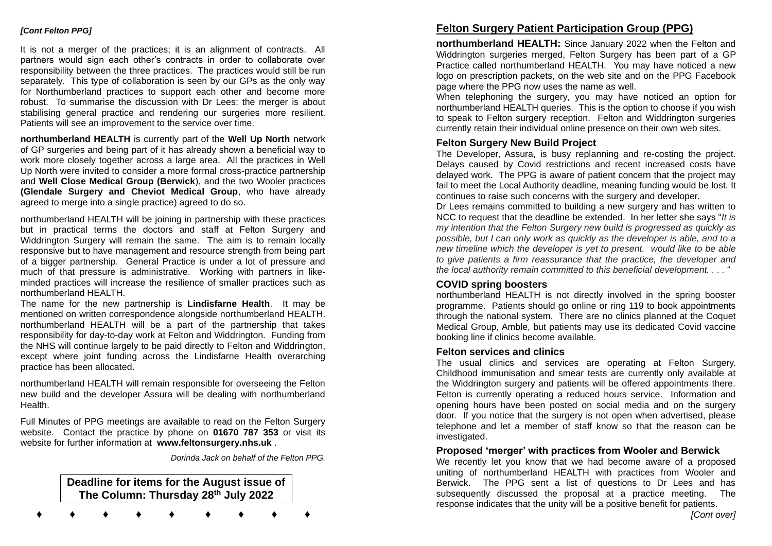#### *[Cont Felton PPG]*

It is not a merger of the practices; it is an alignment of contracts. All partners would sign each other's contracts in order to collaborate over responsibility between the three practices. The practices would still be run separately. This type of collaboration is seen by our GPs as the only way for Northumberland practices to support each other and become more robust. To summarise the discussion with Dr Lees: the merger is about stabilising general practice and rendering our surgeries more resilient. Patients will see an improvement to the service over time.

**northumberland HEALTH** is currently part of the **Well Up North** network of GP surgeries and being part of it has already shown a beneficial way to work more closely together across a large area. All the practices in Well Up North were invited to consider a more formal cross-practice partnership and **Well Close Medical Group (Berwick**), and the two Wooler practices **(Glendale Surgery and Cheviot Medical Group**, who have already agreed to merge into a single practice) agreed to do so.

northumberland HEALTH will be joining in partnership with these practices but in practical terms the doctors and staff at Felton Surgery and Widdrington Surgery will remain the same. The aim is to remain locally responsive but to have management and resource strength from being part of a bigger partnership. General Practice is under a lot of pressure and much of that pressure is administrative. Working with partners in likeminded practices will increase the resilience of smaller practices such as northumberland HEALTH.

The name for the new partnership is **Lindisfarne Health**. It may be mentioned on written correspondence alongside northumberland HEALTH. northumberland HEALTH will be a part of the partnership that takes responsibility for day-to-day work at Felton and Widdrington. Funding from the NHS will continue largely to be paid directly to Felton and Widdrington, except where joint funding across the Lindisfarne Health overarching practice has been allocated.

northumberland HEALTH will remain responsible for overseeing the Felton new build and the developer Assura will be dealing with northumberland Health.

Full Minutes of PPG meetings are available to read on the Felton Surgery website. Contact the practice by phone on **01670 787 353** or visit its website for further information at **www.feltonsurgery.nhs.uk** .

*Dorinda Jack on behalf of the Felton PPG.*

## **Deadline for items for the August issue of The Column: Thursday 28th July 2022**

**♦ ♦ ♦ ♦ ♦ ♦ ♦ ♦ ♦**

## **Felton Surgery Patient Participation Group (PPG)**

**northumberland HEALTH:** Since January 2022 when the Felton and Widdrington surgeries merged, Felton Surgery has been part of a GP Practice called northumberland HEALTH. You may have noticed a new logo on prescription packets, on the web site and on the PPG Facebook page where the PPG now uses the name as well.

When telephoning the surgery, you may have noticed an option for northumberland HEALTH queries. This is the option to choose if you wish to speak to Felton surgery reception. Felton and Widdrington surgeries currently retain their individual online presence on their own web sites.

#### **Felton Surgery New Build Project**

The Developer, Assura, is busy replanning and re-costing the project. Delays caused by Covid restrictions and recent increased costs have delayed work. The PPG is aware of patient concern that the project may fail to meet the Local Authority deadline, meaning funding would be lost. It continues to raise such concerns with the surgery and developer.

Dr Lees remains committed to building a new surgery and has written to NCC to request that the deadline be extended. In her letter she says "*It is my intention that the Felton Surgery new build is progressed as quickly as possible, but I can only work as quickly as the developer is able, and to a new timeline which the developer is yet to present. would like to be able to give patients a firm reassurance that the practice, the developer and the local authority remain committed to this beneficial development. . . .* "

### **COVID spring boosters**

northumberland HEALTH is not directly involved in the spring booster programme. Patients should go online or ring 119 to book appointments through the national system. There are no clinics planned at the Coquet Medical Group, Amble, but patients may use its dedicated Covid vaccine booking line if clinics become available.

#### **Felton services and clinics**

The usual clinics and services are operating at Felton Surgery. Childhood immunisation and smear tests are currently only available at the Widdrington surgery and patients will be offered appointments there. Felton is currently operating a reduced hours service. Information and opening hours have been posted on social media and on the surgery door. If you notice that the surgery is not open when advertised, please telephone and let a member of staff know so that the reason can be investigated.

#### **Proposed 'merger' with practices from Wooler and Berwick**

We recently let you know that we had become aware of a proposed uniting of northumberland HEALTH with practices from Wooler and Berwick. The PPG sent a list of questions to Dr Lees and has subsequently discussed the proposal at a practice meeting. The response indicates that the unity will be a positive benefit for patients.

*[Cont over]*